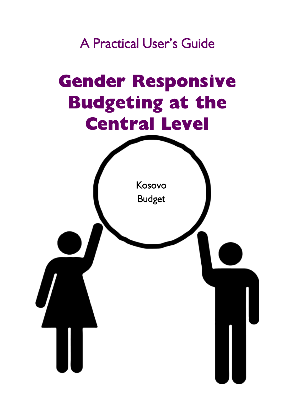A Practical User's Guide

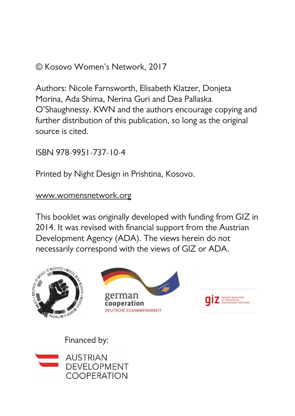#### © Kosovo Women's Network, 2017

Authors: Nicole Farnsworth, Elisabeth Klatzer, Donjeta Morina, Ada Shima, Nerina Guri and Dea Pallaska O'Shaughnessy. KWN and the authors encourage copying and further distribution of this publication, so long as the original source is cited.

ISBN 978-9951-737-10-4

Printed by Night Design in Prishtina, Kosovo.

#### [www.womensnetwork.org](http://www.womensnetwork.org/)

This booklet was originally developed with funding from GIZ in 2014. It was revised with financial support from the Austrian Development Agency (ADA). The views herein do not necessarily correspond with the views of GIZ or ADA.



Financed by:

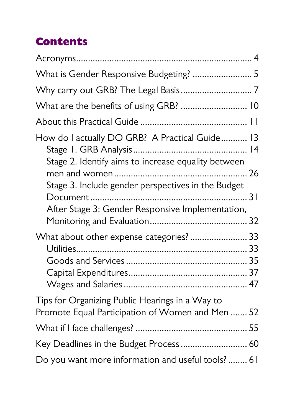## **Contents**

| What is Gender Responsive Budgeting?  5                                                               |  |
|-------------------------------------------------------------------------------------------------------|--|
|                                                                                                       |  |
| What are the benefits of using GRB?  10                                                               |  |
|                                                                                                       |  |
| How do I actually DO GRB? A Practical Guide 13<br>Stage 2. Identify aims to increase equality between |  |
| Stage 3. Include gender perspectives in the Budget                                                    |  |
| After Stage 3: Gender Responsive Implementation,                                                      |  |
| What about other expense categories?  33                                                              |  |
|                                                                                                       |  |
| Tips for Organizing Public Hearings in a Way to<br>Promote Equal Participation of Women and Men  52   |  |
|                                                                                                       |  |
| Key Deadlines in the Budget Process  60                                                               |  |
| Do you want more information and useful tools? 61                                                     |  |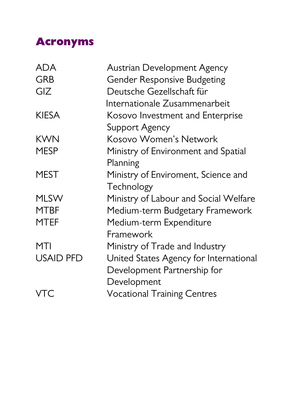### <span id="page-3-0"></span>**Acronyms**

| <b>ADA</b>       | Austrian Development Agency            |
|------------------|----------------------------------------|
| <b>GRB</b>       | Gender Responsive Budgeting            |
| GIZ              | Deutsche Gezellschaft für              |
|                  | Internationale Zusammenarbeit          |
| <b>KIFSA</b>     | Kosovo Investment and Enterprise       |
|                  | Support Agency                         |
| <b>KWN</b>       | Kosovo Women's Network                 |
| MESP             | Ministry of Environment and Spatial    |
|                  | Planning                               |
| MEST             | Ministry of Enviroment, Science and    |
|                  | Technology                             |
| <b>MLSW</b>      | Ministry of Labour and Social Welfare  |
| <b>MTBF</b>      | Medium-term Budgetary Framework        |
| MTEF             | Medium-term Expenditure                |
|                  | Framework                              |
| MTI              | Ministry of Trade and Industry         |
| <b>USAID PFD</b> | United States Agency for International |
|                  | Development Partnership for            |
|                  | Development                            |
| VTC              | <b>Vocational Training Centres</b>     |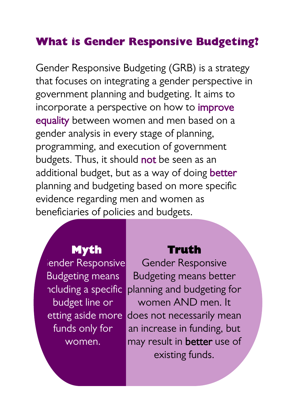### <span id="page-4-0"></span>**What is Gender Responsive Budgeting?**

Gender Responsive Budgeting (GRB) is a strategy that focuses on integrating a gender perspective in government planning and budgeting. It aims to incorporate a perspective on how to improve equality between women and men based on a gender analysis in every stage of planning, programming, and execution of government budgets. Thus, it should not be seen as an additional budget, but as a way of doing better planning and budgeting based on more specific evidence regarding men and women as beneficiaries of policies and budgets.

### **Myth**

iender Responsive Budgeting means ncluding a specific budget line or funds only for women.

#### **Truth**

etting aside more does not necessarily mean Gender Responsive Budgeting means better planning and budgeting for women AND men. It an increase in funding, but may result in **better** use of existing funds.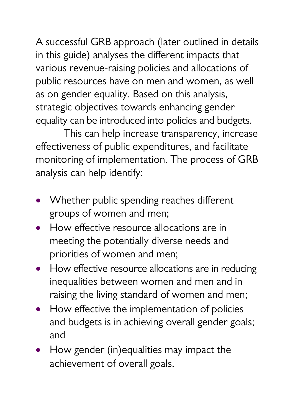A successful GRB approach (later outlined in details in this guide) analyses the different impacts that various revenue-raising policies and allocations of public resources have on men and women, as well as on gender equality. Based on this analysis, strategic objectives towards enhancing gender equality can be introduced into policies and budgets.

This can help increase transparency, increase effectiveness of public expenditures, and facilitate monitoring of implementation. The process of GRB analysis can help identify:

- Whether public spending reaches different groups of women and men;
- How effective resource allocations are in meeting the potentially diverse needs and priorities of women and men;
- How effective resource allocations are in reducing inequalities between women and men and in raising the living standard of women and men;
- How effective the implementation of policies and budgets is in achieving overall gender goals; and
- How gender (in)equalities may impact the achievement of overall goals.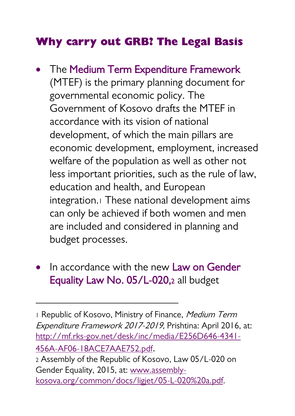### <span id="page-6-0"></span>**Why carry out GRB? The Legal Basis**

- The Medium Term Expenditure Framework (MTEF) is the primary planning document for governmental economic policy. The Government of Kosovo drafts the MTEF in accordance with its vision of national development, of which the main pillars are economic development, employment, increased welfare of the population as well as other not less important priorities, such as the rule of law, education and health, and European integration.<sup>1</sup> These national development aims can only be achieved if both women and men are included and considered in planning and budget processes.
- In accordance with the new Law on Gender Equality Law No. 05/L-020,<sup>2</sup> all budget

1

1 Republic of Kosovo, Ministry of Finance, Medium Term Expenditure Framework 2017-2019, Prishtina: April 2016, at: [http://mf.rks-gov.net/desk/inc/media/E256D646-4341-](http://mf.rks-gov.net/desk/inc/media/E256D646-4341-456A-AF06-18ACE7AAE752.pdf) [456A-AF06-18ACE7AAE752.pdf](http://mf.rks-gov.net/desk/inc/media/E256D646-4341-456A-AF06-18ACE7AAE752.pdf). <sup>2</sup> Assembly of the Republic of Kosovo, Law 05/L-020 on Gender Equality, 2015, at[: www.assembly](http://www.assembly-kosova.org/common/docs/ligjet/05-L-020%20a.pdf)[kosova.org/common/docs/ligjet/05-L-020%20a.pdf.](http://www.assembly-kosova.org/common/docs/ligjet/05-L-020%20a.pdf)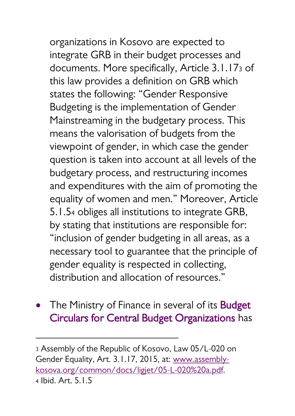organizations in Kosovo are expected to integrate GRB in their budget processes and documents. More specifically, Article 3.1.17<sup>3</sup> of this law provides a definition on GRB which states the following: "Gender Responsive Budgeting is the implementation of Gender Mainstreaming in the budgetary process. This means the valorisation of budgets from the viewpoint of gender, in which case the gender question is taken into account at all levels of the budgetary process, and restructuring incomes and expenditures with the aim of promoting the equality of women and men." Moreover, Article 5.1.5<sup>4</sup> obliges all institutions to integrate GRB, by stating that institutions are responsible for: "inclusion of gender budgeting in all areas, as a necessary tool to guarantee that the principle of gender equality is respected in collecting, distribution and allocation of resources."

• The Ministry of Finance in several of its **Budget** Circulars for Central Budget Organizations has

<sup>3</sup> Assembly of the Republic of Kosovo, Law 05/L-020 on Gender Equality, Art. 3.1.17, 2015, at[: www.assembly](http://www.assembly-kosova.org/common/docs/ligjet/05-L-020%20a.pdf)[kosova.org/common/docs/ligjet/05-L-020%20a.pdf.](http://www.assembly-kosova.org/common/docs/ligjet/05-L-020%20a.pdf) <sup>4</sup> Ibid. Art. 5.1.5

1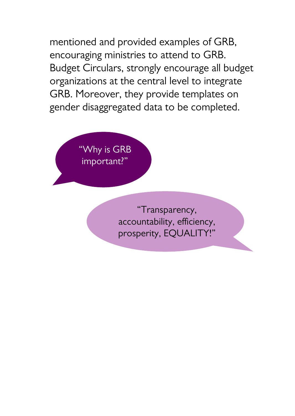mentioned and provided examples of GRB, encouraging ministries to attend to GRB. Budget Circulars, strongly encourage all budget organizations at the central level to integrate GRB. Moreover, they provide templates on gender disaggregated data to be completed.

> Why is GRB important?"

> > "Transparency, accountability, efficiency, prosperity, EQUALITY!"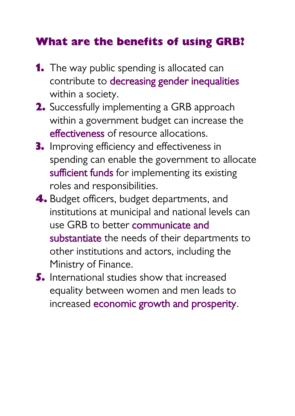### <span id="page-9-0"></span>**What are the benefits of using GRB?**

- **1.** The way public spending is allocated can contribute to decreasing gender inequalities within a society.
- **2.** Successfully implementing a GRB approach within a government budget can increase the effectiveness of resource allocations.
- **3.** Improving efficiency and effectiveness in spending can enable the government to allocate sufficient funds for implementing its existing roles and responsibilities.
- **4.** Budget officers, budget departments, and institutions at municipal and national levels can use GRB to better communicate and substantiate the needs of their departments to other institutions and actors, including the Ministry of Finance.
- **5.** International studies show that increased equality between women and men leads to increased economic growth and prosperity.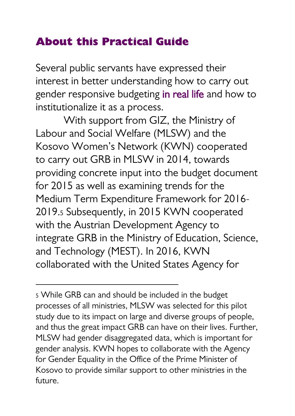### <span id="page-10-0"></span>**About this Practical Guide**

Several public servants have expressed their interest in better understanding how to carry out gender responsive budgeting in real life and how to institutionalize it as a process.

With support from GIZ, the Ministry of Labour and Social Welfare (MLSW) and the Kosovo Women's Network (KWN) cooperated to carry out GRB in MLSW in 2014, towards providing concrete input into the budget document for 2015 as well as examining trends for the Medium Term Expenditure Framework for 2016- 2019.<sup>5</sup> Subsequently, in 2015 KWN cooperated with the Austrian Development Agency to integrate GRB in the Ministry of Education, Science, and Technology (MEST). In 2016, KWN collaborated with the United States Agency for

<sup>5</sup> While GRB can and should be included in the budget processes of all ministries, MLSW was selected for this pilot study due to its impact on large and diverse groups of people, and thus the great impact GRB can have on their lives. Further, MLSW had gender disaggregated data, which is important for gender analysis. KWN hopes to collaborate with the Agency for Gender Equality in the Office of the Prime Minister of Kosovo to provide similar support to other ministries in the future.

1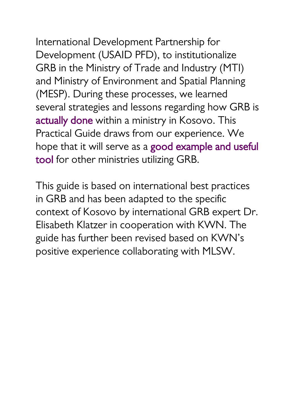International Development Partnership for Development (USAID PFD), to institutionalize GRB in the Ministry of Trade and Industry (MTI) and Ministry of Environment and Spatial Planning (MESP). During these processes, we learned several strategies and lessons regarding how GRB is actually done within a ministry in Kosovo. This Practical Guide draws from our experience. We hope that it will serve as a good example and useful tool for other ministries utilizing GRB.

This guide is based on international best practices in GRB and has been adapted to the specific context of Kosovo by international GRB expert Dr. Elisabeth Klatzer in cooperation with KWN. The guide has further been revised based on KWN's positive experience collaborating with MLSW.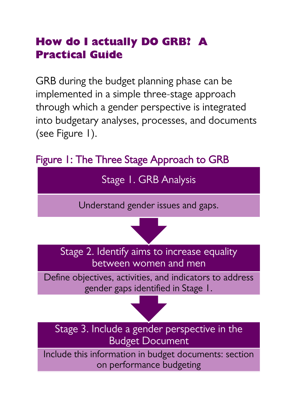### <span id="page-12-0"></span>**How do I actually DO GRB? A Practical Guide**

GRB during the budget planning phase can be implemented in a simple three-stage approach through which a gender perspective is integrated into budgetary analyses, processes, and documents (see Figure 1).



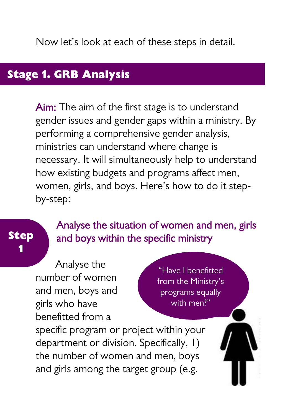Now let's look at each of these steps in detail.

# **Stage 1. GRB Analysis**

Aim: The aim of the first stage is to understand gender issues and gender gaps within a ministry. By performing a comprehensive gender analysis, ministries can understand where change is necessary. It will simultaneously help to understand how existing budgets and programs affect men, women, girls, and boys. Here's how to do it stepby-step:

### **Step 1**

#### Analyse the situation of women and men, girls and boys within the specific ministry

Analyse the number of women and men, boys and girls who have benefitted from a

"Have I benefitted from the Ministry's programs equally with men?"

specific program or project within your department or division. Specifically, 1) the number of women and men, boys and girls among the target group (e.g.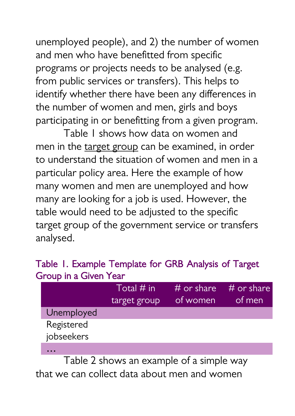unemployed people), and 2) the number of women and men who have benefitted from specific programs or projects needs to be analysed (e.g. from public services or transfers). This helps to identify whether there have been any differences in the number of women and men, girls and boys participating in or benefitting from a given program.

Table 1 shows how data on women and men in the target group can be examined, in order to understand the situation of women and men in a particular policy area. Here the example of how many women and men are unemployed and how many are looking for a job is used. However, the table would need to be adjusted to the specific target group of the government service or transfers analysed.

#### Table 1. Example Template for GRB Analysis of Target Group in a Given Year

|                   | Total $\#$ in<br>target group | $\#$ or share<br>of women | $\#$ or share<br>of men |
|-------------------|-------------------------------|---------------------------|-------------------------|
| <b>Unemployed</b> |                               |                           |                         |
| Registered        |                               |                           |                         |
| jobseekers        |                               |                           |                         |
|                   |                               |                           |                         |

Table 2 shows an example of a simple way that we can collect data about men and women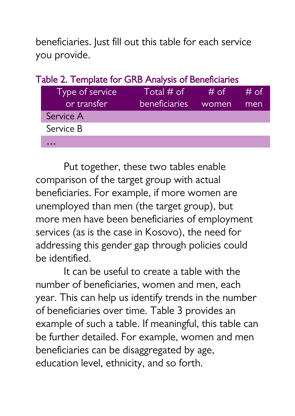beneficiaries. Just fill out this table for each service you provide.

| Table 2. Template for GRB Analysis of Beneficiaries |                 |                      |       |      |  |  |
|-----------------------------------------------------|-----------------|----------------------|-------|------|--|--|
|                                                     | Type of service | Total $#$ of         | # of  | # of |  |  |
|                                                     | or transfer     | <b>beneficiaries</b> | women | men  |  |  |
|                                                     | Service A       |                      |       |      |  |  |
|                                                     | Service B       |                      |       |      |  |  |
|                                                     |                 |                      |       |      |  |  |

Put together, these two tables enable comparison of the target group with actual beneficiaries. For example, if more women are unemployed than men (the target group), but more men have been beneficiaries of employment services (as is the case in Kosovo), the need for addressing this gender gap through policies could be identified.

It can be useful to create a table with the number of beneficiaries, women and men, each year. This can help us identify trends in the number of beneficiaries over time. Table 3 provides an example of such a table. If meaningful, this table can be further detailed. For example, women and men beneficiaries can be disaggregated by age, education level, ethnicity, and so forth.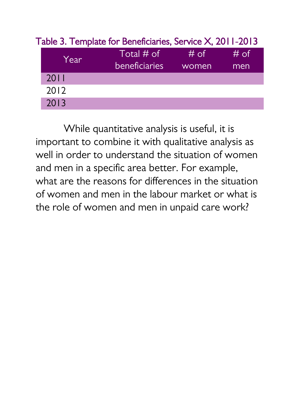| Year | Total $#$ of  | $#$ of | # of |
|------|---------------|--------|------|
|      | beneficiaries | women  | men  |
| 2011 |               |        |      |
| 2012 |               |        |      |
| 2013 |               |        |      |

#### Table 3. Template for Beneficiaries, Service X, 2011-2013

While quantitative analysis is useful, it is important to combine it with qualitative analysis as well in order to understand the situation of women and men in a specific area better. For example, what are the reasons for differences in the situation of women and men in the labour market or what is the role of women and men in unpaid care work?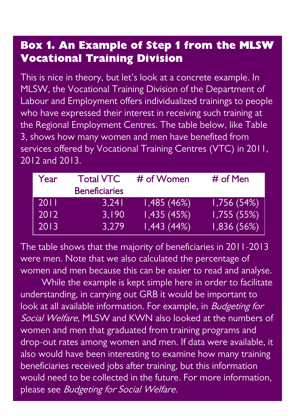### **Box 1. An Example of Step 1 from the MLSW Vocational Training Division**

This is nice in theory, but let's look at a concrete example. In MLSW, the Vocational Training Division of the Department of Labour and Employment offers individualized trainings to people who have expressed their interest in receiving such training at the Regional Employment Centres. The table below, like Table 3, shows how many women and men have benefited from services offered by Vocational Training Centres (VTC) in 2011, 2012 and 2013.

| Year | <b>Total VTC</b>     | # of Women | # of Men   |
|------|----------------------|------------|------------|
|      | <b>Beneficiaries</b> |            |            |
| 2011 | 3.241                | 1,485(46%) | 1,756(54%) |
| 2012 | 3.190                | 1,435(45%) | 1,755(55%) |
| 2013 | 3.279                | 1,443(44%) | 1,836(56%) |

The table shows that the majority of beneficiaries in 2011-2013 were men. Note that we also calculated the percentage of women and men because this can be easier to read and analyse.

While the example is kept simple here in order to facilitate understanding, in carrying out GRB it would be important to look at all available information. For example, in *Budgeting for* Social Welfare, MLSW and KWN also looked at the numbers of women and men that graduated from training programs and drop-out rates among women and men. If data were available, it also would have been interesting to examine how many training beneficiaries received jobs after training, but this information would need to be collected in the future. For more information, please see Budgeting for Social Welfare.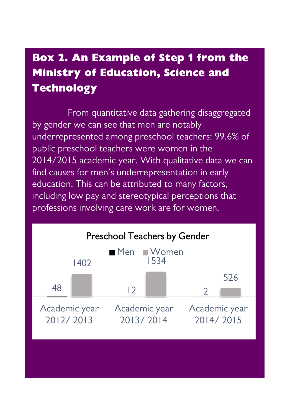## **Box 2. An Example of Step 1 from the Ministry of Education, Science and Technology**

From quantitative data gathering disaggregated by gender we can see that men are notably underrepresented among preschool teachers: 99.6% of public preschool teachers were women in the 2014/2015 academic year. With qualitative data we can find causes for men's underrepresentation in early education. This can be attributed to many factors, including low pay and stereotypical perceptions that professions involving care work are for women.

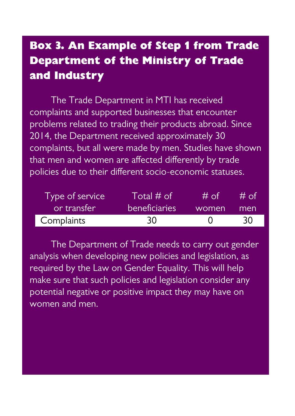## **Box 3. An Example of Step 1 from Trade Department of the Ministry of Trade and Industry**

The Trade Department in MTI has received complaints and supported businesses that encounter problems related to trading their products abroad. Since 2014, the Department received approximately 30 complaints, but all were made by men. Studies have shown that men and women are affected differently by trade policies due to their different socio-economic statuses.

| Type of service | $\mathsf{T}$ otal # of $\mathsf{I}$ | # of         | # റf |
|-----------------|-------------------------------------|--------------|------|
| or transfer     | <b>beneficiaries</b>                | women        | men  |
| Complaints      | 30                                  | $\mathbf{I}$ | 30   |

The Department of Trade needs to carry out gender analysis when developing new policies and legislation, as required by the Law on Gender Equality. This will help make sure that such policies and legislation consider any potential negative or positive impact they may have on women and men.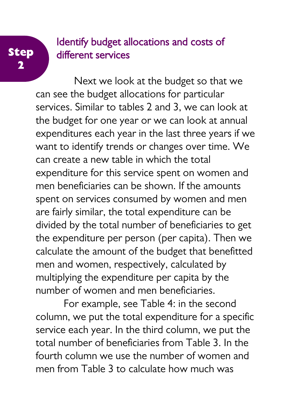#### **Step 2**

### Identify budget allocations and costs of different services

Next we look at the budget so that we can see the budget allocations for particular services. Similar to tables 2 and 3, we can look at the budget for one year or we can look at annual expenditures each year in the last three years if we want to identify trends or changes over time. We can create a new table in which the total expenditure for this service spent on women and men beneficiaries can be shown. If the amounts spent on services consumed by women and men are fairly similar, the total expenditure can be divided by the total number of beneficiaries to get the expenditure per person (per capita). Then we calculate the amount of the budget that benefitted men and women, respectively, calculated by multiplying the expenditure per capita by the number of women and men beneficiaries.

For example, see Table 4: in the second column, we put the total expenditure for a specific service each year. In the third column, we put the total number of beneficiaries from Table 3. In the fourth column we use the number of women and men from Table 3 to calculate how much was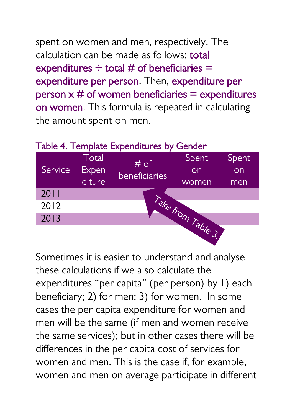spent on women and men, respectively. The calculation can be made as follows: total expenditures  $\div$  total # of beneficiaries = expenditure per person. Then, expenditure per person  $x \#$  of women beneficiaries = expenditures on women. This formula is repeated in calculating the amount spent on men.



Sometimes it is easier to understand and analyse these calculations if we also calculate the expenditures "per capita" (per person) by 1) each beneficiary; 2) for men; 3) for women. In some cases the per capita expenditure for women and men will be the same (if men and women receive the same services); but in other cases there will be differences in the per capita cost of services for women and men. This is the case if, for example, women and men on average participate in different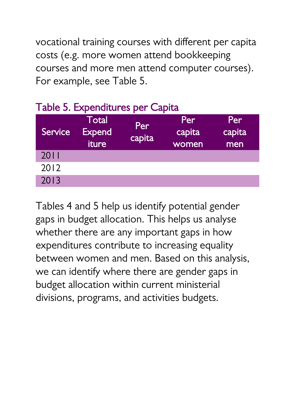vocational training courses with different per capita costs (e.g. more women attend bookkeeping courses and more men attend computer courses). For example, see Table 5.

| Service | <b>Total</b><br><b>Expend</b><br>iture | Per<br>capita | Per<br>capita<br>women | Per<br>capita<br>men |
|---------|----------------------------------------|---------------|------------------------|----------------------|
| 2011    |                                        |               |                        |                      |
| 2012    |                                        |               |                        |                      |
| 2013    |                                        |               |                        |                      |

Tables 4 and 5 help us identify potential gender gaps in budget allocation. This helps us analyse whether there are any important gaps in how expenditures contribute to increasing equality between women and men. Based on this analysis, we can identify where there are gender gaps in budget allocation within current ministerial divisions, programs, and activities budgets.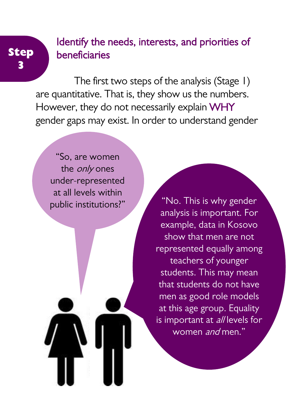### Identify the needs, interests, and priorities of beneficiaries

The first two steps of the analysis (Stage 1) are quantitative. That is, they show us the numbers. However, they do not necessarily explain WHY gender gaps may exist. In order to understand gender

"So, are women the *only* ones under-represented at all levels within

**Step 3**

> public institutions?" "No. This is why gender analysis is important. For example, data in Kosovo show that men are not represented equally among teachers of younger students. This may mean that students do not have men as good role models at this age group. Equality is important at all levels for women and men."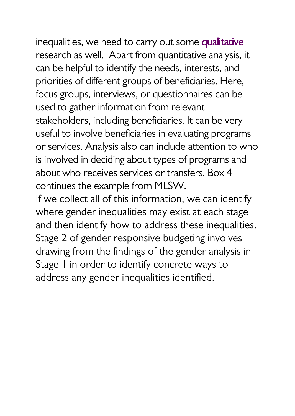inequalities, we need to carry out some qualitative research as well. Apart from quantitative analysis, it can be helpful to identify the needs, interests, and priorities of different groups of beneficiaries. Here, focus groups, interviews, or questionnaires can be used to gather information from relevant stakeholders, including beneficiaries. It can be very useful to involve beneficiaries in evaluating programs or services. Analysis also can include attention to who is involved in deciding about types of programs and about who receives services or transfers. Box 4 continues the example from MLSW. If we collect all of this information, we can identify

where gender inequalities may exist at each stage and then identify how to address these inequalities. Stage 2 of gender responsive budgeting involves drawing from the findings of the gender analysis in Stage 1 in order to identify concrete ways to address any gender inequalities identified.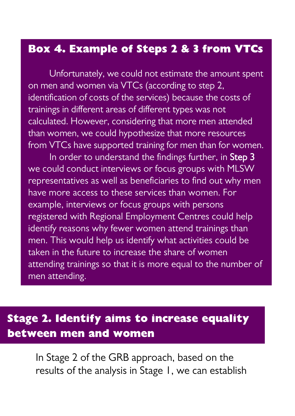#### **Box 4. Example of Steps 2 & 3 from VTCs**

Unfortunately, we could not estimate the amount spent on men and women via VTCs (according to step 2, identification of costs of the services) because the costs of trainings in different areas of different types was not calculated. However, considering that more men attended than women, we could hypothesize that more resources from VTCs have supported training for men than for women.

In order to understand the findings further, in Step 3 we could conduct interviews or focus groups with MLSW representatives as well as beneficiaries to find out why men have more access to these services than women. For example, interviews or focus groups with persons registered with Regional Employment Centres could help identify reasons why fewer women attend trainings than men. This would help us identify what activities could be taken in the future to increase the share of women attending trainings so that it is more equal to the number of men attending.

### **Stage 2. Identify aims to increase equality between men and women**

In Stage 2 of the GRB approach, based on the results of the analysis in Stage 1, we can establish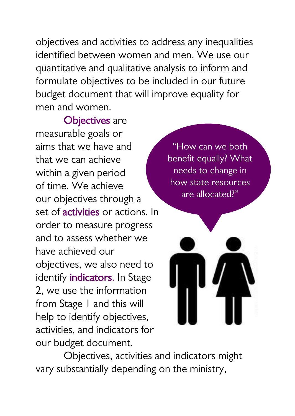objectives and activities to address any inequalities identified between women and men. We use our quantitative and qualitative analysis to inform and formulate objectives to be included in our future budget document that will improve equality for men and women.

Objectives are measurable goals or aims that we have and that we can achieve within a given period of time. We achieve our objectives through a set of activities or actions. In order to measure progress and to assess whether we have achieved our objectives, we also need to identify **indicators**. In Stage 2, we use the information from Stage 1 and this will help to identify objectives, activities, and indicators for our budget document.

"How can we both benefit equally? What needs to change in how state resources are allocated?"



Objectives, activities and indicators might vary substantially depending on the ministry,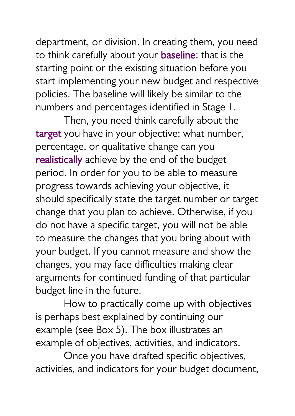department, or division. In creating them, you need to think carefully about your baseline: that is the starting point or the existing situation before you start implementing your new budget and respective policies. The baseline will likely be similar to the numbers and percentages identified in Stage 1.

Then, you need think carefully about the target you have in your objective: what number, percentage, or qualitative change can you realistically achieve by the end of the budget period. In order for you to be able to measure progress towards achieving your objective, it should specifically state the target number or target change that you plan to achieve. Otherwise, if you do not have a specific target, you will not be able to measure the changes that you bring about with your budget. If you cannot measure and show the changes, you may face difficulties making clear arguments for continued funding of that particular budget line in the future.

How to practically come up with objectives is perhaps best explained by continuing our example (see Box 5). The box illustrates an example of objectives, activities, and indicators.

Once you have drafted specific objectives, activities, and indicators for your budget document,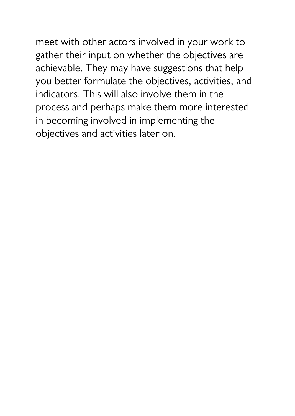meet with other actors involved in your work to gather their input on whether the objectives are achievable. They may have suggestions that help you better formulate the objectives, activities, and indicators. This will also involve them in the process and perhaps make them more interested in becoming involved in implementing the objectives and activities later on.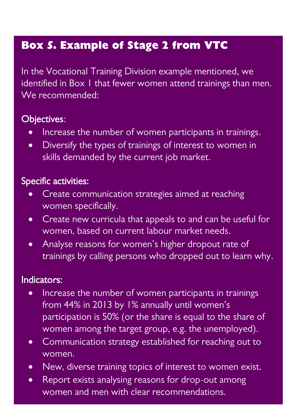### **Box 5. Example of Stage 2 from VTC**

In the Vocational Training Division example mentioned, we identified in Box 1 that fewer women attend trainings than men. We recommended:

#### Objectives:

- Increase the number of women participants in trainings.
- Diversify the types of trainings of interest to women in skills demanded by the current job market.

#### Specific activities:

- Create communication strategies aimed at reaching women specifically.
- Create new curricula that appeals to and can be useful for women, based on current labour market needs.
- Analyse reasons for women's higher dropout rate of trainings by calling persons who dropped out to learn why.

#### Indicators:

- Increase the number of women participants in trainings from 44% in 2013 by 1% annually until women's participation is 50% (or the share is equal to the share of women among the target group, e.g. the unemployed).
- Communication strategy established for reaching out to women.
- New, diverse training topics of interest to women exist.
- Report exists analysing reasons for drop-out among women and men with clear recommendations.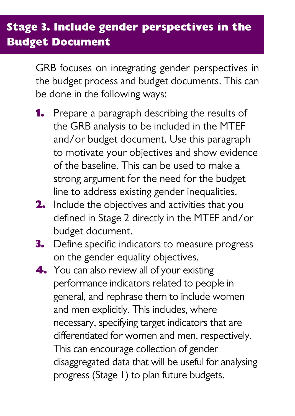## **Stage 3. Include gender perspectives in the Budget Document**

GRB focuses on integrating gender perspectives in the budget process and budget documents. This can be done in the following ways:

- **1.** Prepare a paragraph describing the results of the GRB analysis to be included in the MTEF and/or budget document. Use this paragraph to motivate your objectives and show evidence of the baseline. This can be used to make a strong argument for the need for the budget line to address existing gender inequalities.
- **2.** Include the objectives and activities that you defined in Stage 2 directly in the MTEF and/or budget document.
- **3.** Define specific indicators to measure progress on the gender equality objectives.
- **4.** You can also review all of your existing performance indicators related to people in general, and rephrase them to include women and men explicitly. This includes, where necessary, specifying target indicators that are differentiated for women and men, respectively. This can encourage collection of gender disaggregated data that will be useful for analysing progress (Stage 1) to plan future budgets.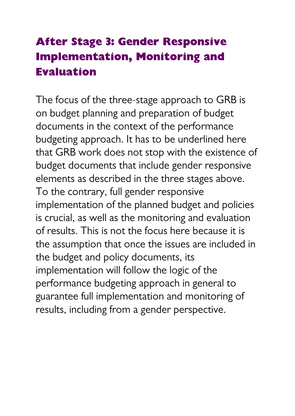## <span id="page-31-0"></span>**After Stage 3: Gender Responsive Implementation, Monitoring and Evaluation**

The focus of the three-stage approach to GRB is on budget planning and preparation of budget documents in the context of the performance budgeting approach. It has to be underlined here that GRB work does not stop with the existence of budget documents that include gender responsive elements as described in the three stages above. To the contrary, full gender responsive implementation of the planned budget and policies is crucial, as well as the monitoring and evaluation of results. This is not the focus here because it is the assumption that once the issues are included in the budget and policy documents, its implementation will follow the logic of the performance budgeting approach in general to guarantee full implementation and monitoring of results, including from a gender perspective.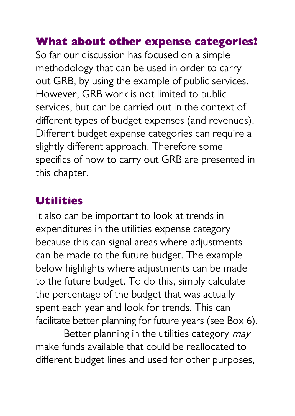### <span id="page-32-0"></span>**What about other expense categories?**

So far our discussion has focused on a simple methodology that can be used in order to carry out GRB, by using the example of public services. However, GRB work is not limited to public services, but can be carried out in the context of different types of budget expenses (and revenues). Different budget expense categories can require a slightly different approach. Therefore some specifics of how to carry out GRB are presented in this chapter.

### <span id="page-32-1"></span>**Utilities**

It also can be important to look at trends in expenditures in the utilities expense category because this can signal areas where adjustments can be made to the future budget. The example below highlights where adjustments can be made to the future budget. To do this, simply calculate the percentage of the budget that was actually spent each year and look for trends. This can facilitate better planning for future years (see Box 6).

Better planning in the utilities category may make funds available that could be reallocated to different budget lines and used for other purposes,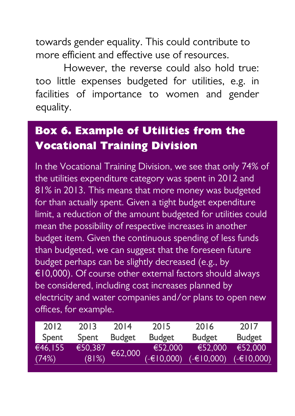towards gender equality. This could contribute to more efficient and effective use of resources.

However, the reverse could also hold true: too little expenses budgeted for utilities, e.g. in facilities of importance to women and gender equality.

## **Box 6. Example of Utilities from the Vocational Training Division**

In the Vocational Training Division, we see that only 74% of the utilities expenditure category was spent in 2012 and 81% in 2013. This means that more money was budgeted for than actually spent. Given a tight budget expenditure limit, a reduction of the amount budgeted for utilities could mean the possibility of respective increases in another budget item. Given the continuous spending of less funds than budgeted, we can suggest that the foreseen future budget perhaps can be slightly decreased (e.g., by €10,000). Of course other external factors should always be considered, including cost increases planned by electricity and water companies and/or plans to open new offices, for example.

| 2012    | 2013    | 2014          | 2015          | 2016          | 2017          |
|---------|---------|---------------|---------------|---------------|---------------|
| Spent   | Spent   | <b>Budget</b> | <b>Budget</b> | <b>Budget</b> | <b>Budget</b> |
| €46,155 | €50,387 | €62,000       | €52.000       | €52,000       | €52,000       |
| (74%)   | (81%)   |               | (-€10,000)    | $(-610,000)$  | $(-&10,000)$  |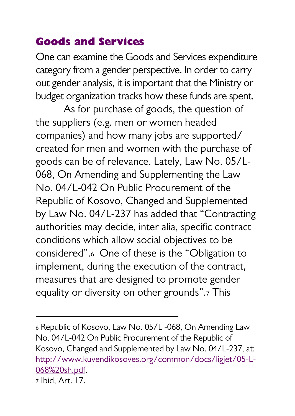## <span id="page-34-0"></span>**Goods and Services**

**.** 

One can examine the Goods and Services expenditure category from a gender perspective. In order to carry out gender analysis, it is important that the Ministry or budget organization tracks how these funds are spent.

As for purchase of goods, the question of the suppliers (e.g. men or women headed companies) and how many jobs are supported/ created for men and women with the purchase of goods can be of relevance. Lately, Law No. 05/L-068, On Amending and Supplementing the Law No. 04/L-042 On Public Procurement of the Republic of Kosovo, Changed and Supplemented by Law No. 04/L-237 has added that "Contracting authorities may decide, inter alia, specific contract conditions which allow social objectives to be considered".<sup>6</sup> One of these is the "Obligation to implement, during the execution of the contract, measures that are designed to promote gender equality or diversity on other grounds".<sup>7</sup> This

<sup>6</sup> Republic of Kosovo, Law No. 05/L -068, On Amending Law No. 04/L-042 On Public Procurement of the Republic of Kosovo, Changed and Supplemented by Law No. 04/L-237, at: [http://www.kuvendikosoves.org/common/docs/ligjet/05-L-](http://www.kuvendikosoves.org/common/docs/ligjet/05-L-068%20sh.pdf)[068%20sh.pdf.](http://www.kuvendikosoves.org/common/docs/ligjet/05-L-068%20sh.pdf) <sup>7</sup> Ibid, Art. 17.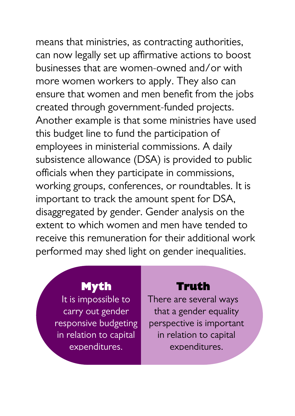means that ministries, as contracting authorities, can now legally set up affirmative actions to boost businesses that are women-owned and/or with more women workers to apply. They also can ensure that women and men benefit from the jobs created through government-funded projects. Another example is that some ministries have used this budget line to fund the participation of employees in ministerial commissions. A daily subsistence allowance (DSA) is provided to public officials when they participate in commissions, working groups, conferences, or roundtables. It is important to track the amount spent for DSA, disaggregated by gender. Gender analysis on the extent to which women and men have tended to receive this remuneration for their additional work performed may shed light on gender inequalities.

#### **Myth**

It is impossible to carry out gender responsive budgeting in relation to capital expenditures.

#### **Truth**

There are several ways that a gender equality perspective is important in relation to capital expenditures.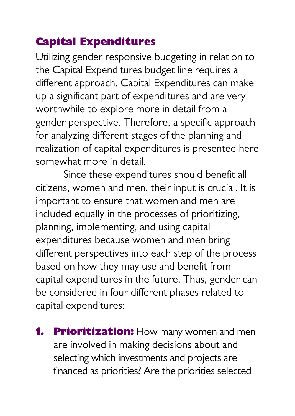## <span id="page-36-0"></span>**Capital Expenditures**

Utilizing gender responsive budgeting in relation to the Capital Expenditures budget line requires a different approach. Capital Expenditures can make up a significant part of expenditures and are very worthwhile to explore more in detail from a gender perspective. Therefore, a specific approach for analyzing different stages of the planning and realization of capital expenditures is presented here somewhat more in detail.

Since these expenditures should benefit all citizens, women and men, their input is crucial. It is important to ensure that women and men are included equally in the processes of prioritizing, planning, implementing, and using capital expenditures because women and men bring different perspectives into each step of the process based on how they may use and benefit from capital expenditures in the future. Thus, gender can be considered in four different phases related to capital expenditures:

**1. Prioritization:** How many women and men are involved in making decisions about and selecting which investments and projects are financed as priorities? Are the priorities selected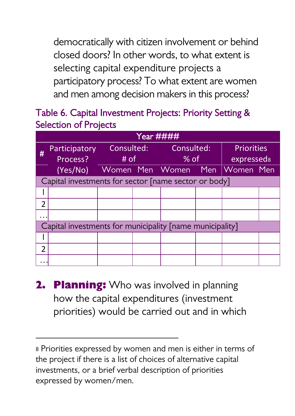democratically with citizen involvement or behind closed doors? In other words, to what extent is selecting capital expenditure projects a participatory process? To what extent are women and men among decision makers in this process?

#### Table 6. Capital Investment Projects: Priority Setting & Selection of Projects

|               | Year #                                                   |      |  |  |      |                   |  |  |  |  |
|---------------|----------------------------------------------------------|------|--|--|------|-------------------|--|--|--|--|
| #             | Participatory Consulted: Consulted:                      |      |  |  |      | <b>Priorities</b> |  |  |  |  |
|               | Process?                                                 | # of |  |  | % of | expresseds        |  |  |  |  |
|               | (Yes/No) Women Men Women Men Women Men                   |      |  |  |      |                   |  |  |  |  |
|               | Capital investments for sector [name sector or body]     |      |  |  |      |                   |  |  |  |  |
|               |                                                          |      |  |  |      |                   |  |  |  |  |
| っ             |                                                          |      |  |  |      |                   |  |  |  |  |
|               |                                                          |      |  |  |      |                   |  |  |  |  |
|               | Capital investments for municipality [name municipality] |      |  |  |      |                   |  |  |  |  |
|               |                                                          |      |  |  |      |                   |  |  |  |  |
| $\mathcal{P}$ |                                                          |      |  |  |      |                   |  |  |  |  |
|               |                                                          |      |  |  |      |                   |  |  |  |  |

**2. Planning:** Who was involved in planning how the capital expenditures (investment priorities) would be carried out and in which

1

<sup>8</sup> Priorities expressed by women and men is either in terms of the project if there is a list of choices of alternative capital investments, or a brief verbal description of priorities expressed by women/men.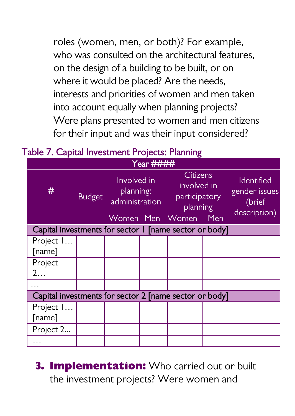roles (women, men, or both)? For example, who was consulted on the architectural features on the design of a building to be built, or on where it would be placed? Are the needs, interests and priorities of women and men taken into account equally when planning projects? Were plans presented to women and men citizens for their input and was their input considered?

Table 7. Capital Investment Projects: Planning

|                                                        | Year          |                                            |  |                                                             |      |                                                              |  |
|--------------------------------------------------------|---------------|--------------------------------------------|--|-------------------------------------------------------------|------|--------------------------------------------------------------|--|
| #                                                      | <b>Budget</b> | Involved in<br>planning:<br>administration |  | <b>Citizens</b><br>involved in<br>participatory<br>planning |      | <b>Identified</b><br>gender issues<br>(brief<br>description) |  |
|                                                        |               | Women Men                                  |  | Women                                                       | _Men |                                                              |  |
| Capital investments for sector 1 [name sector or body] |               |                                            |  |                                                             |      |                                                              |  |
| Project I                                              |               |                                            |  |                                                             |      |                                                              |  |
| [name]                                                 |               |                                            |  |                                                             |      |                                                              |  |
| Project                                                |               |                                            |  |                                                             |      |                                                              |  |
| 2                                                      |               |                                            |  |                                                             |      |                                                              |  |
|                                                        |               |                                            |  |                                                             |      |                                                              |  |
| Capital investments for sector 2 [name sector or body] |               |                                            |  |                                                             |      |                                                              |  |
| Project I                                              |               |                                            |  |                                                             |      |                                                              |  |
| [name]                                                 |               |                                            |  |                                                             |      |                                                              |  |
| Project 2                                              |               |                                            |  |                                                             |      |                                                              |  |
|                                                        |               |                                            |  |                                                             |      |                                                              |  |

**3. Implementation:** Who carried out or built the investment projects? Were women and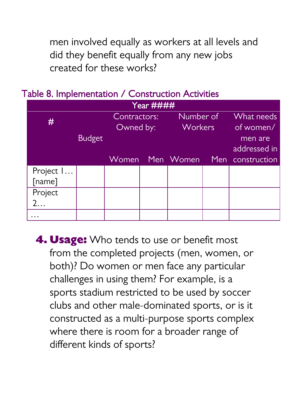men involved equally as workers at all levels and did they benefit equally from any new jobs created for these works?

| <b>Example 19 International Construction Activities</b> |                           |        |  |                      |                         |                         |  |  |
|---------------------------------------------------------|---------------------------|--------|--|----------------------|-------------------------|-------------------------|--|--|
| Year ####                                               |                           |        |  |                      |                         |                         |  |  |
| #                                                       | Contractors:<br>Owned by: |        |  | Number of<br>Workers | What needs<br>of women/ |                         |  |  |
|                                                         | Budget                    |        |  |                      |                         | men are<br>addressed in |  |  |
|                                                         |                           | 'Women |  | Men Women            |                         | Men construction        |  |  |
| Project I                                               |                           |        |  |                      |                         |                         |  |  |
| [name]                                                  |                           |        |  |                      |                         |                         |  |  |
| Project                                                 |                           |        |  |                      |                         |                         |  |  |
| 2.                                                      |                           |        |  |                      |                         |                         |  |  |
|                                                         |                           |        |  |                      |                         |                         |  |  |

Table 8. Implementation / Construction Activities

**4. Usage:** Who tends to use or benefit most from the completed projects (men, women, or both)? Do women or men face any particular challenges in using them? For example, is a sports stadium restricted to be used by soccer clubs and other male-dominated sports, or is it constructed as a multi-purpose sports complex where there is room for a broader range of different kinds of sports?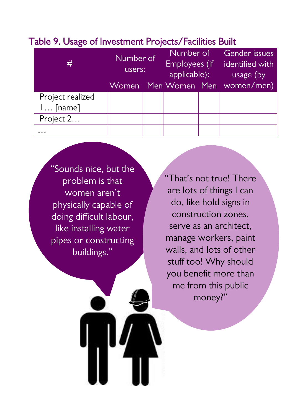| #                              | Number of<br>users: | Number of<br>Employees (if<br>applicable): | Gender issues<br>identified with<br>usage (by<br>Women Men Women Men women/men) |
|--------------------------------|---------------------|--------------------------------------------|---------------------------------------------------------------------------------|
| Project realized<br>$l$ [name] |                     |                                            |                                                                                 |
| Project 2                      |                     |                                            |                                                                                 |
|                                |                     |                                            |                                                                                 |

#### Table 9. Usage of Investment Projects/Facilities Built

"Sounds nice, but the problem is that women aren't physically capable of doing difficult labour, like installing water pipes or constructing buildings."

"That's not true! There are lots of things I can do, like hold signs in construction zones, serve as an architect, manage workers, paint walls, and lots of other stuff too! Why should you benefit more than me from this public money?"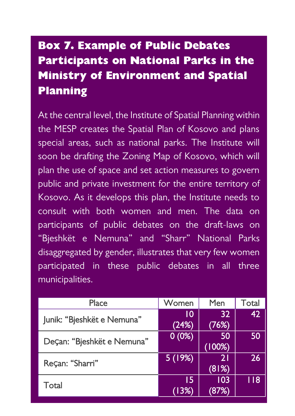## **Box 7. Example of Public Debates Participants on National Parks in the Ministry of Environment and Spatial Planning**

At the central level, the Institute of Spatial Planning within the MESP creates the Spatial Plan of Kosovo and plans special areas, such as national parks. The Institute will soon be drafting the Zoning Map of Kosovo, which will plan the use of space and set action measures to govern public and private investment for the entire territory of Kosovo. As it develops this plan, the Institute needs to consult with both women and men. The data on participants of public debates on the draft-laws on "Bjeshkët e Nemuna" and "Sharr" National Parks disaggregated by gender, illustrates that very few women participated in these public debates in all three municipalities.

| Place                      | Women    | Men    | Total |
|----------------------------|----------|--------|-------|
| Junik: "Bjeshkët e Nemuna" | 10       | 32     | 42    |
|                            | (24%)    | (76%)  |       |
| Deçan: "Bjeshkët e Nemuna" | 0(0%)    | 50     | 50    |
|                            |          | (100%) |       |
| Reçan: "Sharri"            | 5 (19%)' | 21     | 26    |
|                            |          | (81%)  |       |
| Total                      | 15       | 103    | 118   |
|                            | (13%)    | 87%    |       |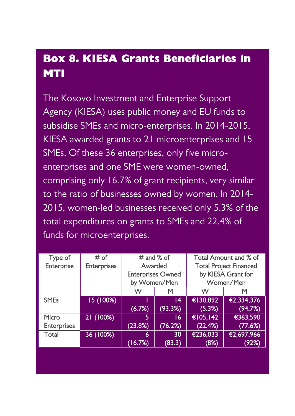## **Box 8. KIESA Grants Beneficiaries in MTI**

The Kosovo Investment and Enterprise Support Agency (KIESA) uses public money and EU funds to subsidise SMEs and micro-enterprises. In 2014-2015, KIESA awarded grants to 21 microenterprises and 15 SMEs. Of these 36 enterprises, only five microenterprises and one SME were women-owned, comprising only 16.7% of grant recipients, very similar to the ratio of businesses owned by women. In 2014- 2015, women-led businesses received only 5.3% of the total expenditures on grants to SMEs and 22.4% of funds for microenterprises.

| Type of            | # of        | # and % of               |         |                               | Total Amount and % of |
|--------------------|-------------|--------------------------|---------|-------------------------------|-----------------------|
| Enterprise         | Enterprises | Awarded                  |         | <b>Total Project Financed</b> |                       |
|                    |             | <b>Enterprises Owned</b> |         | by KIESA Grant for            |                       |
|                    |             | by Women/Men             |         | Women/Men                     |                       |
|                    |             | w                        | м       | w                             | м                     |
| <b>SMEs</b>        | 15 (100%)   |                          | 14      | €130,892                      | €2,334,376            |
|                    |             | (6.7%)                   | (93.3%) | (5.3%)                        | (94.7%)               |
| Micro              | 21 (100%)   | 5                        | 16      | €105.142                      | €363,590              |
| <b>Enterprises</b> |             | (23.8%)                  | (76.2%) | (22.4%)                       | (77.6%)               |
| Total              | 36 (100%)   | 6                        | 30      | €236.033                      | €2.697.966            |
|                    |             | (16.7%)                  | (83.3)  | (8%)                          | (92%)                 |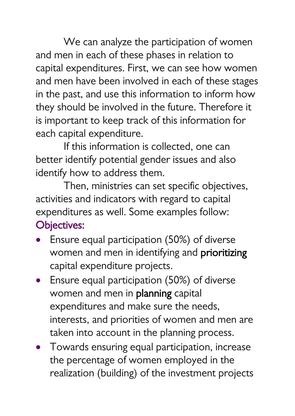We can analyze the participation of women and men in each of these phases in relation to capital expenditures. First, we can see how women and men have been involved in each of these stages in the past, and use this information to inform how they should be involved in the future. Therefore it is important to keep track of this information for each capital expenditure.

If this information is collected, one can better identify potential gender issues and also identify how to address them.

Then, ministries can set specific objectives, activities and indicators with regard to capital expenditures as well. Some examples follow:

## Objectives:

- Ensure equal participation (50%) of diverse women and men in identifying and **prioritizing** capital expenditure projects.
- Ensure equal participation (50%) of diverse women and men in planning capital expenditures and make sure the needs, interests, and priorities of women and men are taken into account in the planning process.
- Towards ensuring equal participation, increase the percentage of women employed in the realization (building) of the investment projects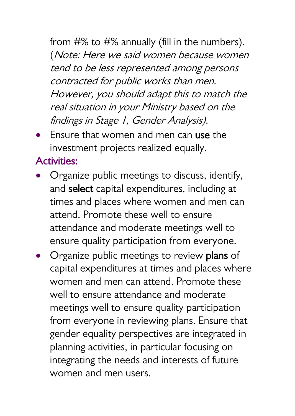from #% to #% annually (fill in the numbers). (Note: Here we said women because women tend to be less represented among persons contracted for public works than men. However, you should adapt this to match the real situation in your Ministry based on the findings in Stage 1, Gender Analysis).

 Ensure that women and men can use the investment projects realized equally.

### Activities:

- Organize public meetings to discuss, identify, and select capital expenditures, including at times and places where women and men can attend. Promote these well to ensure attendance and moderate meetings well to ensure quality participation from everyone.
- Organize public meetings to review plans of capital expenditures at times and places where women and men can attend. Promote these well to ensure attendance and moderate meetings well to ensure quality participation from everyone in reviewing plans. Ensure that gender equality perspectives are integrated in planning activities, in particular focusing on integrating the needs and interests of future women and men users.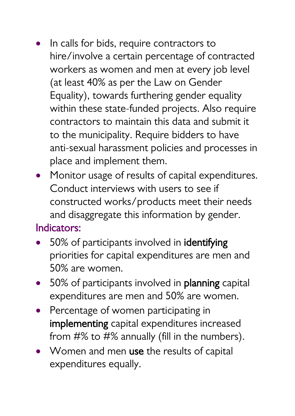- In calls for bids, require contractors to hire/involve a certain percentage of contracted workers as women and men at every job level (at least 40% as per the Law on Gender Equality), towards furthering gender equality within these state-funded projects. Also require contractors to maintain this data and submit it to the municipality. Require bidders to have anti-sexual harassment policies and processes in place and implement them.
- Monitor usage of results of capital expenditures. Conduct interviews with users to see if constructed works/products meet their needs and disaggregate this information by gender.

### Indicators:

- 50% of participants involved in **identifying** priorities for capital expenditures are men and 50% are women.
- 50% of participants involved in **planning** capital expenditures are men and 50% are women.
- Percentage of women participating in implementing capital expenditures increased from #% to #% annually (fill in the numbers).
- Women and men use the results of capital expenditures equally.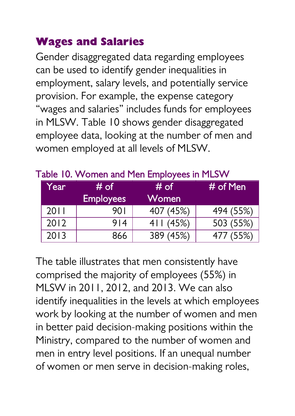### <span id="page-46-0"></span>**Wages and Salaries**

Gender disaggregated data regarding employees can be used to identify gender inequalities in employment, salary levels, and potentially service provision. For example, the expense category "wages and salaries" includes funds for employees in MLSW. Table 10 shows gender disaggregated employee data, looking at the number of men and women employed at all levels of MLSW.

| Year' | # of<br><b>Employees</b> | # of<br>Women | $#$ of Men |
|-------|--------------------------|---------------|------------|
| 2011  | 90 I                     | 407 (45%)     | 494 (55%)  |
| 2012  | 914                      | 411(45%)      | 503 (55%)  |
| 2013  | 866                      | 389 (45%)     | 477 (55%)  |

#### Table 10. Women and Men Employees in MLSW

The table illustrates that men consistently have comprised the majority of employees (55%) in MLSW in 2011, 2012, and 2013. We can also identify inequalities in the levels at which employees work by looking at the number of women and men in better paid decision-making positions within the Ministry, compared to the number of women and men in entry level positions. If an unequal number of women or men serve in decision-making roles,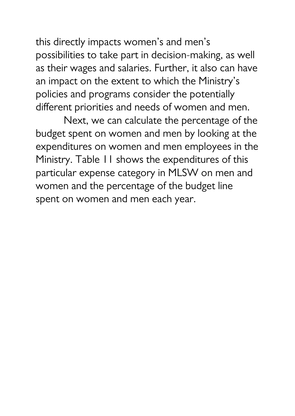this directly impacts women's and men's possibilities to take part in decision-making, as well as their wages and salaries. Further, it also can have an impact on the extent to which the Ministry's policies and programs consider the potentially different priorities and needs of women and men.

Next, we can calculate the percentage of the budget spent on women and men by looking at the expenditures on women and men employees in the Ministry. Table 11 shows the expenditures of this particular expense category in MLSW on men and women and the percentage of the budget line spent on women and men each year.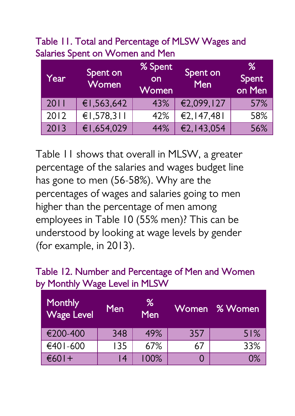Table 11. Total and Percentage of MLSW Wages and Salaries Spent on Women and Men

| Year | Spent on<br>Women | % Spent<br><b>lon</b><br>Women | Spent on<br>Men | ℅<br>Spent<br>on Men |
|------|-------------------|--------------------------------|-----------------|----------------------|
| 2011 | €1,563,642        | 43%                            | €2,099,127      | 57%                  |
| 2012 | €1,578,311        | 42%                            | €2,147,481      | 58%                  |
| 2013 | €1,654,029        | 44%                            | €2,143,054      | 56%                  |

Table 11 shows that overall in MLSW, a greater percentage of the salaries and wages budget line has gone to men (56-58%). Why are the percentages of wages and salaries going to men higher than the percentage of men among employees in Table 10 (55% men)? This can be understood by looking at wage levels by gender (for example, in 2013).

#### Table 12. Number and Percentage of Men and Women by Monthly Wage Level in MLSW

| <b>Monthly</b><br><b>Wage Level</b> | <b>Men</b> | %<br>Men |     | Women % Women |
|-------------------------------------|------------|----------|-----|---------------|
| €200-400                            | 348        | 49%      | 357 | 51%           |
| €401-600                            | 135        | 67%      | 67  | 33%           |
| $€601+$                             | 14         | 100%     |     | 0%            |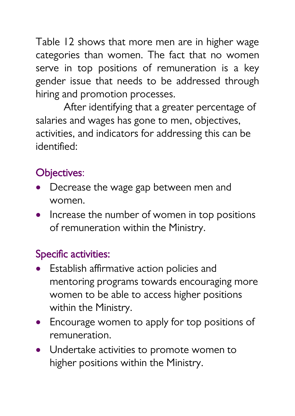Table 12 shows that more men are in higher wage categories than women. The fact that no women serve in top positions of remuneration is a key gender issue that needs to be addressed through hiring and promotion processes.

After identifying that a greater percentage of salaries and wages has gone to men, objectives, activities, and indicators for addressing this can be identified:

## Objectives:

- Decrease the wage gap between men and women.
- Increase the number of women in top positions of remuneration within the Ministry.

## Specific activities:

- Establish affirmative action policies and mentoring programs towards encouraging more women to be able to access higher positions within the Ministry.
- Encourage women to apply for top positions of remuneration.
- Undertake activities to promote women to higher positions within the Ministry.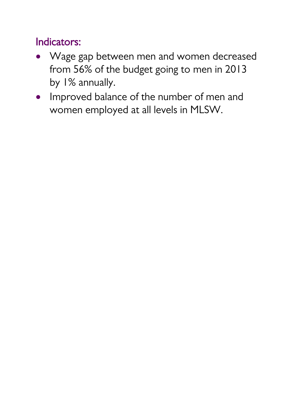## Indicators:

- Wage gap between men and women decreased from 56% of the budget going to men in 2013 by 1% annually.
- Improved balance of the number of men and women employed at all levels in MLSW.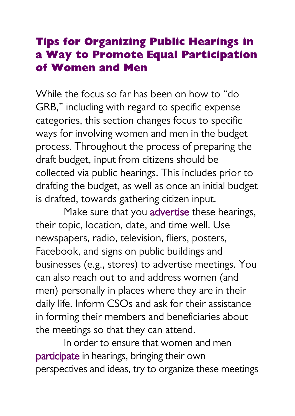### <span id="page-51-0"></span>**Tips for Organizing Public Hearings in a Way to Promote Equal Participation of Women and Men**

While the focus so far has been on how to "do GRB," including with regard to specific expense categories, this section changes focus to specific ways for involving women and men in the budget process. Throughout the process of preparing the draft budget, input from citizens should be collected via public hearings. This includes prior to drafting the budget, as well as once an initial budget is drafted, towards gathering citizen input.

Make sure that you advertise these hearings, their topic, location, date, and time well. Use newspapers, radio, television, fliers, posters, Facebook, and signs on public buildings and businesses (e.g., stores) to advertise meetings. You can also reach out to and address women (and men) personally in places where they are in their daily life. Inform CSOs and ask for their assistance in forming their members and beneficiaries about the meetings so that they can attend.

In order to ensure that women and men participate in hearings, bringing their own perspectives and ideas, try to organize these meetings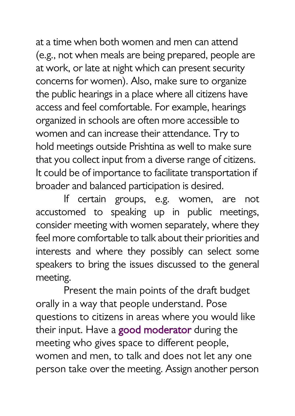at a time when both women and men can attend (e.g., not when meals are being prepared, people are at work, or late at night which can present security concerns for women). Also, make sure to organize the public hearings in a place where all citizens have access and feel comfortable. For example, hearings organized in schools are often more accessible to women and can increase their attendance. Try to hold meetings outside Prishtina as well to make sure that you collect input from a diverse range of citizens. It could be of importance to facilitate transportation if broader and balanced participation is desired.

If certain groups, e.g. women, are not accustomed to speaking up in public meetings, consider meeting with women separately, where they feel more comfortable to talk about their priorities and interests and where they possibly can select some speakers to bring the issues discussed to the general meeting.

Present the main points of the draft budget orally in a way that people understand. Pose questions to citizens in areas where you would like their input. Have a good moderator during the meeting who gives space to different people, women and men, to talk and does not let any one person take over the meeting. Assign another person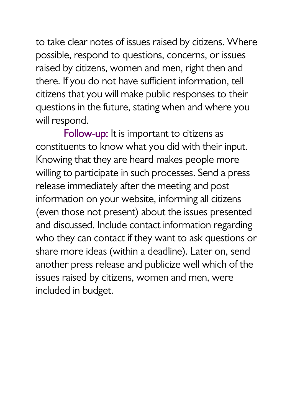to take clear notes of issues raised by citizens. Where possible, respond to questions, concerns, or issues raised by citizens, women and men, right then and there. If you do not have sufficient information, tell citizens that you will make public responses to their questions in the future, stating when and where you will respond.

Follow-up: It is important to citizens as constituents to know what you did with their input. Knowing that they are heard makes people more willing to participate in such processes. Send a press release immediately after the meeting and post information on your website, informing all citizens (even those not present) about the issues presented and discussed. Include contact information regarding who they can contact if they want to ask questions or share more ideas (within a deadline). Later on, send another press release and publicize well which of the issues raised by citizens, women and men, were included in budget.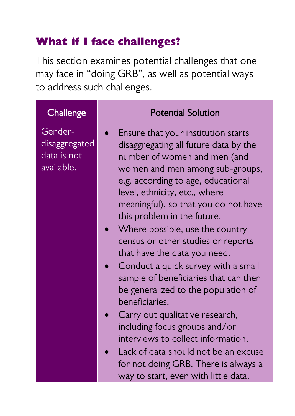## <span id="page-54-0"></span>**What if I face challenges?**

This section examines potential challenges that one may face in "doing GRB", as well as potential ways to address such challenges.

| Challenge                                             | <b>Potential Solution</b>                                                                                                                                                                                                                                                                                                                                                                                                                                                                                                                                                                                                                                                                                                                 |
|-------------------------------------------------------|-------------------------------------------------------------------------------------------------------------------------------------------------------------------------------------------------------------------------------------------------------------------------------------------------------------------------------------------------------------------------------------------------------------------------------------------------------------------------------------------------------------------------------------------------------------------------------------------------------------------------------------------------------------------------------------------------------------------------------------------|
| Gender-<br>disaggregated<br>data is not<br>available. | Ensure that your institution starts<br>disaggregating all future data by the<br>number of women and men (and<br>women and men among sub-groups,<br>e.g. according to age, educational<br>level, ethnicity, etc., where<br>meaningful), so that you do not have<br>this problem in the future.<br>Where possible, use the country<br>census or other studies or reports<br>that have the data you need.<br>Conduct a quick survey with a small<br>sample of beneficiaries that can then<br>be generalized to the population of<br>beneficiaries.<br>Carry out qualitative research,<br>including focus groups and/or<br>interviews to collect information.<br>Lack of data should not be an excuse<br>for not doing GRB. There is always a |
|                                                       | way to start, even with little data.                                                                                                                                                                                                                                                                                                                                                                                                                                                                                                                                                                                                                                                                                                      |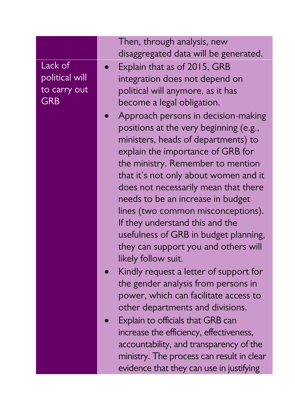|                | Then, through analysis, new               |
|----------------|-------------------------------------------|
|                | disaggregated data will be generated.     |
| Lack of        | Explain that as of 2015, GRB              |
| political will | integration does not depend on            |
| to carry out   | political will anymore, as it has         |
| <b>GRB</b>     | become a legal obligation.                |
|                | Approach persons in decision-making       |
|                | positions at the very beginning (e.g.,    |
|                | ministers, heads of departments) to       |
|                | explain the importance of GRB for         |
|                | the ministry. Remember to mention         |
|                | that it's not only about women and it     |
|                | does not necessarily mean that there      |
|                | needs to be an increase in budget         |
|                | lines (two common misconceptions).        |
|                | If they understand this and the           |
|                | usefulness of GRB in budget planning,     |
|                | they can support you and others will      |
|                | likely follow suit.                       |
|                | Kindly request a letter of support for    |
|                | the gender analysis from persons in       |
|                | power, which can facilitate access to     |
|                | other departments and divisions.          |
|                | Explain to officials that GRB can         |
|                | increase the efficiency, effectiveness,   |
|                | accountability, and transparency of the   |
|                | ministry. The process can result in clear |
|                | evidence that they can use in justifying  |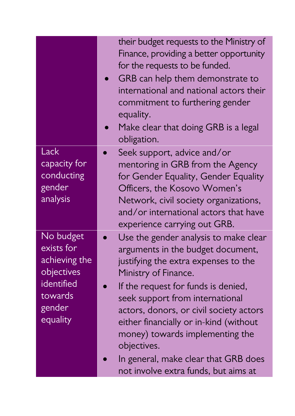|                                                                                                       | their budget requests to the Ministry of<br>Finance, providing a better opportunity<br>for the requests to be funded.<br>GRB can help them demonstrate to<br>international and national actors their<br>commitment to furthering gender<br>equality.<br>Make clear that doing GRB is a legal<br>obligation.                                                                                                                                 |
|-------------------------------------------------------------------------------------------------------|---------------------------------------------------------------------------------------------------------------------------------------------------------------------------------------------------------------------------------------------------------------------------------------------------------------------------------------------------------------------------------------------------------------------------------------------|
| Lack<br>capacity for<br>conducting<br>gender<br>analysis                                              | Seek support, advice and/or<br>mentoring in GRB from the Agency<br>for Gender Equality, Gender Equality<br>Officers, the Kosovo Women's<br>Network, civil society organizations,<br>and/or international actors that have<br>experience carrying out GRB.                                                                                                                                                                                   |
| No budget<br>exists for<br>achieving the<br>objectives<br>identified<br>towards<br>gender<br>equality | Use the gender analysis to make clear<br>arguments in the budget document,<br>justifying the extra expenses to the<br>Ministry of Finance.<br>If the request for funds is denied,<br>seek support from international<br>actors, donors, or civil society actors<br>either financially or in-kind (without<br>money) towards implementing the<br>objectives.<br>In general, make clear that GRB does<br>not involve extra funds, but aims at |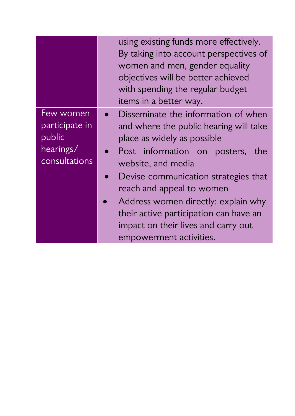|                                                                     | using existing funds more effectively.<br>By taking into account perspectives of<br>women and men, gender equality<br>objectives will be better achieved<br>with spending the regular budget<br>items in a better way.                                                                                                                                                                         |
|---------------------------------------------------------------------|------------------------------------------------------------------------------------------------------------------------------------------------------------------------------------------------------------------------------------------------------------------------------------------------------------------------------------------------------------------------------------------------|
| Few women<br>participate in<br>public<br>hearings/<br>consultations | Disseminate the information of when<br>and where the public hearing will take<br>place as widely as possible<br>Post information on posters, the<br>website, and media<br>Devise communication strategies that<br>reach and appeal to women<br>Address women directly: explain why<br>their active participation can have an<br>impact on their lives and carry out<br>empowerment activities. |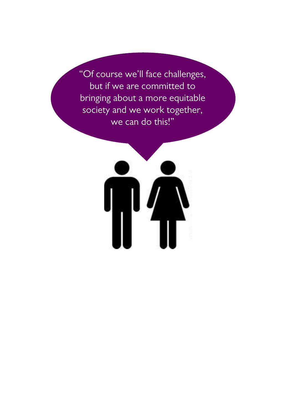"Of course we'll face challenges, but if we are committed to bringing about a more equitable society and we work together, we can do this!"

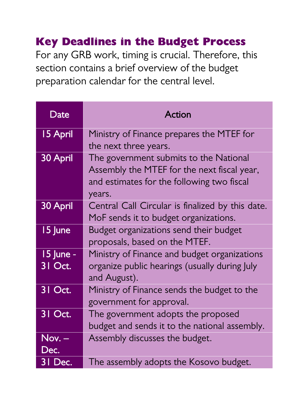## <span id="page-59-0"></span>**Key Deadlines in the Budget Process**

For any GRB work, timing is crucial. Therefore, this section contains a brief overview of the budget preparation calendar for the central level.

| Date                 | Action                                                                                                                                        |
|----------------------|-----------------------------------------------------------------------------------------------------------------------------------------------|
| 15 April             | Ministry of Finance prepares the MTEF for<br>the next three years.                                                                            |
| 30 April             | The government submits to the National<br>Assembly the MTEF for the next fiscal year,<br>and estimates for the following two fiscal<br>years. |
| 30 April             | Central Call Circular is finalized by this date.<br>MoF sends it to budget organizations.                                                     |
| 15 June              | Budget organizations send their budget<br>proposals, based on the MTEF.                                                                       |
| 15 June -<br>31 Oct. | Ministry of Finance and budget organizations<br>organize public hearings (usually during July<br>and August).                                 |
| 31 Oct.              | Ministry of Finance sends the budget to the<br>government for approval.                                                                       |
| 31 Oct.              | The government adopts the proposed<br>budget and sends it to the national assembly.                                                           |
| Nov. –<br>Dec.       | Assembly discusses the budget.                                                                                                                |
| 31 Dec.              | The assembly adopts the Kosovo budget.                                                                                                        |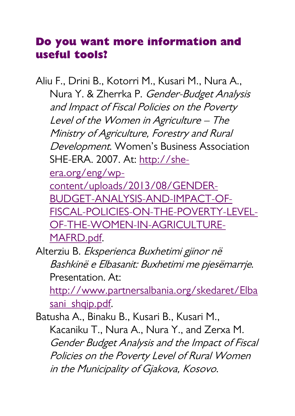### <span id="page-60-0"></span>**Do you want more information and useful tools?**

Aliu F., Drini B., Kotorri M., Kusari M., Nura A., Nura Y. & Zherrka P. Gender-Budget Analysis and Impact of Fiscal Policies on the Poverty Level of the Women in Agriculture – The Ministry of Agriculture, Forestry and Rural Development. Women's Business Association SHE-ERA. 2007. At[: http://she](http://she-era.org/eng/wp-content/uploads/2013/08/GENDER-BUDGET-ANALYSIS-AND-IMPACT-OF-FISCAL-POLICIES-ON-THE-POVERTY-LEVEL-OF-THE-WOMEN-IN-AGRICULTURE-MAFRD.pdf)[era.org/eng/wp](http://she-era.org/eng/wp-content/uploads/2013/08/GENDER-BUDGET-ANALYSIS-AND-IMPACT-OF-FISCAL-POLICIES-ON-THE-POVERTY-LEVEL-OF-THE-WOMEN-IN-AGRICULTURE-MAFRD.pdf)[content/uploads/2013/08/GENDER-](http://she-era.org/eng/wp-content/uploads/2013/08/GENDER-BUDGET-ANALYSIS-AND-IMPACT-OF-FISCAL-POLICIES-ON-THE-POVERTY-LEVEL-OF-THE-WOMEN-IN-AGRICULTURE-MAFRD.pdf)

[BUDGET-ANALYSIS-AND-IMPACT-OF-](http://she-era.org/eng/wp-content/uploads/2013/08/GENDER-BUDGET-ANALYSIS-AND-IMPACT-OF-FISCAL-POLICIES-ON-THE-POVERTY-LEVEL-OF-THE-WOMEN-IN-AGRICULTURE-MAFRD.pdf)[FISCAL-POLICIES-ON-THE-POVERTY-LEVEL-](http://she-era.org/eng/wp-content/uploads/2013/08/GENDER-BUDGET-ANALYSIS-AND-IMPACT-OF-FISCAL-POLICIES-ON-THE-POVERTY-LEVEL-OF-THE-WOMEN-IN-AGRICULTURE-MAFRD.pdf)[OF-THE-WOMEN-IN-AGRICULTURE-](http://she-era.org/eng/wp-content/uploads/2013/08/GENDER-BUDGET-ANALYSIS-AND-IMPACT-OF-FISCAL-POLICIES-ON-THE-POVERTY-LEVEL-OF-THE-WOMEN-IN-AGRICULTURE-MAFRD.pdf)[MAFRD.pdf.](http://she-era.org/eng/wp-content/uploads/2013/08/GENDER-BUDGET-ANALYSIS-AND-IMPACT-OF-FISCAL-POLICIES-ON-THE-POVERTY-LEVEL-OF-THE-WOMEN-IN-AGRICULTURE-MAFRD.pdf)

Alterziu B. Eksperienca Buxhetimi gjinor në Bashkinë e Elbasanit: Buxhetimi me pjesëmarrje. Presentation. At:

[http://www.partnersalbania.org/skedaret/Elba](http://www.partnersalbania.org/skedaret/Elbasani_shqip.pdf) [sani\\_shqip.pdf.](http://www.partnersalbania.org/skedaret/Elbasani_shqip.pdf)

Batusha A., Binaku B., Kusari B., Kusari M., Kacaniku T., Nura A., Nura Y., and Zerxa M. Gender Budget Analysis and the Impact of Fiscal Policies on the Poverty Level of Rural Women in the Municipality of Gjakova, Kosovo.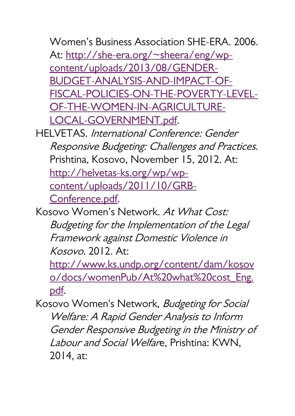Women's Business Association SHE-ERA. 2006. At: [http://she-era.org/~sheera/eng/wp](http://she-era.org/~sheera/eng/wp-content/uploads/2013/08/GENDER-BUDGET-ANALYSIS-AND-IMPACT-OF-FISCAL-POLICIES-ON-THE-POVERTY-LEVEL-OF-THE-WOMEN-IN-AGRICULTURE-LOCAL-GOVERNMENT.pdf)[content/uploads/2013/08/GENDER-](http://she-era.org/~sheera/eng/wp-content/uploads/2013/08/GENDER-BUDGET-ANALYSIS-AND-IMPACT-OF-FISCAL-POLICIES-ON-THE-POVERTY-LEVEL-OF-THE-WOMEN-IN-AGRICULTURE-LOCAL-GOVERNMENT.pdf)[BUDGET-ANALYSIS-AND-IMPACT-OF-](http://she-era.org/~sheera/eng/wp-content/uploads/2013/08/GENDER-BUDGET-ANALYSIS-AND-IMPACT-OF-FISCAL-POLICIES-ON-THE-POVERTY-LEVEL-OF-THE-WOMEN-IN-AGRICULTURE-LOCAL-GOVERNMENT.pdf)[FISCAL-POLICIES-ON-THE-POVERTY-LEVEL-](http://she-era.org/~sheera/eng/wp-content/uploads/2013/08/GENDER-BUDGET-ANALYSIS-AND-IMPACT-OF-FISCAL-POLICIES-ON-THE-POVERTY-LEVEL-OF-THE-WOMEN-IN-AGRICULTURE-LOCAL-GOVERNMENT.pdf)[OF-THE-WOMEN-IN-AGRICULTURE-](http://she-era.org/~sheera/eng/wp-content/uploads/2013/08/GENDER-BUDGET-ANALYSIS-AND-IMPACT-OF-FISCAL-POLICIES-ON-THE-POVERTY-LEVEL-OF-THE-WOMEN-IN-AGRICULTURE-LOCAL-GOVERNMENT.pdf)[LOCAL-GOVERNMENT.pdf.](http://she-era.org/~sheera/eng/wp-content/uploads/2013/08/GENDER-BUDGET-ANALYSIS-AND-IMPACT-OF-FISCAL-POLICIES-ON-THE-POVERTY-LEVEL-OF-THE-WOMEN-IN-AGRICULTURE-LOCAL-GOVERNMENT.pdf)

HELVETAS. International Conference: Gender Responsive Budgeting: Challenges and Practices. Prishtina, Kosovo, November 15, 2012. At: [http://helvetas-ks.org/wp/wp](http://helvetas-ks.org/wp/wp-content/uploads/2011/10/GRB-Conference.pdf)[content/uploads/2011/10/GRB-](http://helvetas-ks.org/wp/wp-content/uploads/2011/10/GRB-Conference.pdf)[Conference.pdf.](http://helvetas-ks.org/wp/wp-content/uploads/2011/10/GRB-Conference.pdf)

Kosovo Women's Network. At What Cost: Budgeting for the Implementation of the Legal Framework against Domestic Violence in Kosovo. 2012. At:

[http://www.ks.undp.org/content/dam/kosov](http://www.ks.undp.org/content/dam/kosovo/docs/womenPub/At%20what%20cost_Eng.pdf) [o/docs/womenPub/At%20what%20cost\\_Eng.](http://www.ks.undp.org/content/dam/kosovo/docs/womenPub/At%20what%20cost_Eng.pdf) [pdf.](http://www.ks.undp.org/content/dam/kosovo/docs/womenPub/At%20what%20cost_Eng.pdf)

Kosovo Women's Network, Budgeting for Social Welfare: A Rapid Gender Analysis to Inform Gender Responsive Budgeting in the Ministry of Labour and Social Welfare, Prishtina: KWN, 2014, at: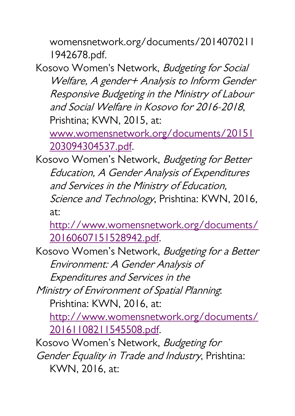womensnetwork.org/documents/2014070211 1942678.pdf.

Kosovo Women's Network, Budgeting for Social Welfare, A gender+ Analysis to Inform Gender Responsive Budgeting in the Ministry of Labour and Social Welfare in Kosovo for 2016-2018, Prishtina; KWN, 2015, at:

[www.womensnetwork.org/documents/20151](http://www.womensnetwork.org/documents/20151203094304537.pdf) [203094304537.pdf.](http://www.womensnetwork.org/documents/20151203094304537.pdf)

Kosovo Women's Network, Budgeting for Better Education, A Gender Analysis of Expenditures and Services in the Ministry of Education, Science and Technology, Prishtina: KWN, 2016, at:

[http://www.womensnetwork.org/documents/](http://www.womensnetwork.org/documents/20160607151528942.pdf) [20160607151528942.pdf.](http://www.womensnetwork.org/documents/20160607151528942.pdf)

Kosovo Women's Network, Budgeting for a Better Environment: A Gender Analysis of

Expenditures and Services in the

Ministry of Environment of Spatial Planning: Prishtina: KWN, 2016, at:

[http://www.womensnetwork.org/documents/](http://www.womensnetwork.org/documents/20161108211545508.pdf) [20161108211545508.pdf.](http://www.womensnetwork.org/documents/20161108211545508.pdf)

Kosovo Women's Network, Budgeting for

Gender Equality in Trade and Industry, Prishtina: KWN, 2016, at: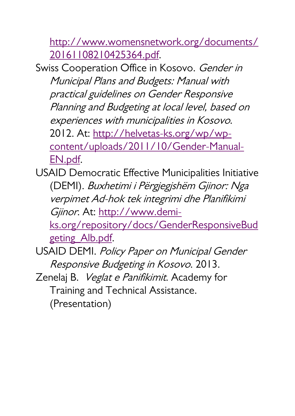[http://www.womensnetwork.org/documents/](http://www.womensnetwork.org/documents/20161108210425364.pdf) [20161108210425364.pdf.](http://www.womensnetwork.org/documents/20161108210425364.pdf)

Swiss Cooperation Office in Kosovo. Gender in Municipal Plans and Budgets: Manual with practical guidelines on Gender Responsive Planning and Budgeting at local level, based on experiences with municipalities in Kosovo. 2012. At: [http://helvetas-ks.org/wp/wp](http://helvetas-ks.org/wp/wp-content/uploads/2011/10/Gender-Manual-EN.pdf)[content/uploads/2011/10/Gender-Manual-](http://helvetas-ks.org/wp/wp-content/uploads/2011/10/Gender-Manual-EN.pdf)[EN.pdf.](http://helvetas-ks.org/wp/wp-content/uploads/2011/10/Gender-Manual-EN.pdf)

USAID Democratic Effective Municipalities Initiative (DEMI). Buxhetimi i Përgjegjshëm Gjinor: Nga verpimet Ad-hok tek integrimi dhe Planifikimi Gjinor. At: [http://www.demi-](http://www.demi-ks.org/repository/docs/GenderResponsiveBudgeting_Alb.pdf)

[ks.org/repository/docs/GenderResponsiveBud](http://www.demi-ks.org/repository/docs/GenderResponsiveBudgeting_Alb.pdf) [geting\\_Alb.pdf.](http://www.demi-ks.org/repository/docs/GenderResponsiveBudgeting_Alb.pdf)

USAID DEMI. Policy Paper on Municipal Gender Responsive Budgeting in Kosovo. 2013.

Zenelaj B. Veglat e Panifikimit. Academy for Training and Technical Assistance. (Presentation)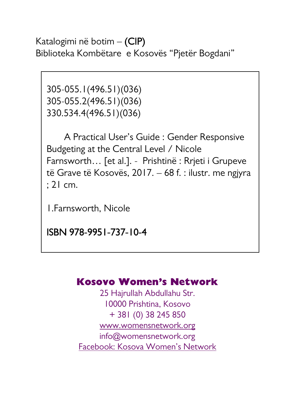Katalogimi në botim – (CIP) Biblioteka Kombëtare e Kosovës "Pjetër Bogdani"

305-055.1(496.51)(036) 305-055.2(496.51)(036) 330.534.4(496.51)(036)

 A Practical User's Guide : Gender Responsive Budgeting at the Central Level / Nicole Farnsworth… [et al.]. - Prishtinë : Rrjeti i Grupeve të Grave të Kosovës, 2017. – 68 f. : ilustr. me ngjyra ; 21 cm.

1.Farnsworth, Nicole

ISBN 978-9951-737-10-4

#### **Kosovo Women's Network**

25 Hajrullah Abdullahu Str. 10000 Prishtina, Kosovo + 381 (0) 38 245 850 [www.womensnetwork.org](http://www.womensnetwork.org/) [info@womensnetwork.org](mailto:info@womensnetwork.org) [Facebook: Kosova Women's Network](http://www.facebook.com/pages/Kosova-Womens-Network/128138803913145?ref=ts&fref=ts)